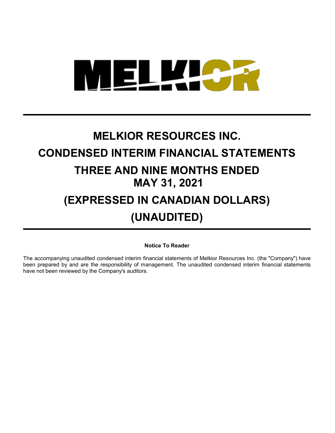

# **MELKIOR RESOURCES INC. CONDENSED INTERIM FINANCIAL STATEMENTS THREE AND NINE MONTHS ENDED MAY 31, 2021 (EXPRESSED IN CANADIAN DOLLARS)**

## **(UNAUDITED)**

**Notice To Reader**

The accompanying unaudited condensed interim financial statements of Melkior Resources Inc. (the "Company") have been prepared by and are the responsibility of management. The unaudited condensed interim financial statements have not been reviewed by the Company's auditors.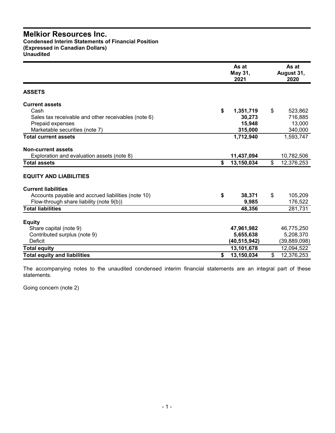**Condensed Interim Statements of Financial Position (Expressed in Canadian Dollars) Unaudited**

|                                                     | As at<br>May 31,<br>2021 | As at<br>August 31,<br>2020 |
|-----------------------------------------------------|--------------------------|-----------------------------|
| <b>ASSETS</b>                                       |                          |                             |
| <b>Current assets</b>                               |                          |                             |
| Cash                                                | \$<br>1,351,719          | \$<br>523,862               |
| Sales tax receivable and other receivables (note 6) | 30,273                   | 716,885                     |
| Prepaid expenses                                    | 15,948                   | 13,000                      |
| Marketable securities (note 7)                      | 315,000                  | 340,000                     |
| <b>Total current assets</b>                         | 1,712,940                | 1,593,747                   |
| <b>Non-current assets</b>                           |                          |                             |
| Exploration and evaluation assets (note 8)          | 11,437,094               | 10,782,506                  |
| <b>Total assets</b>                                 | \$<br>13,150,034         | \$<br>12,376,253            |
| <b>EQUITY AND LIABILITIES</b>                       |                          |                             |
| <b>Current liabilities</b>                          |                          |                             |
| Accounts payable and accrued liabilities (note 10)  | \$<br>38,371             | \$<br>105,209               |
| Flow-through share liability (note 9(b))            | 9,985                    | 176,522                     |
| <b>Total liabilities</b>                            | 48,356                   | 281,731                     |
| <b>Equity</b>                                       |                          |                             |
| Share capital (note 9)                              | 47,961,982               | 46,775,250                  |
| Contributed surplus (note 9)                        | 5,655,638                | 5,208,370                   |
| Deficit                                             | (40,515,942)             | (39, 889, 098)              |
| <b>Total equity</b>                                 | 13,101,678               | 12,094,522                  |
| <b>Total equity and liabilities</b>                 | \$<br>13,150,034         | \$<br>12,376,253            |

The accompanying notes to the unaudited condensed interim financial statements are an integral part of these statements.

Going concern (note 2)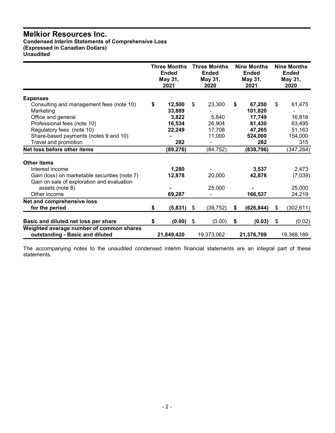**Condensed Interim Statements of Comprehensive Loss (Expressed in Canadian Dollars) Unaudited**

|                                                                             | <b>Three Months</b><br><b>Ended</b><br>May 31,<br>2021 | <b>Three Months</b><br><b>Ended</b><br>May 31,<br>2020 |    | <b>Nine Months</b><br><b>Ended</b><br>May 31,<br>2021 | <b>Nine Months</b><br><b>Ended</b><br>May 31,<br>2020 |
|-----------------------------------------------------------------------------|--------------------------------------------------------|--------------------------------------------------------|----|-------------------------------------------------------|-------------------------------------------------------|
| <b>Expenses</b>                                                             |                                                        |                                                        |    |                                                       |                                                       |
| Consulting and management fees (note 10)                                    | \$<br>12,500                                           | \$<br>23,300                                           | \$ | 67,250                                                | \$<br>61,475                                          |
| Marketing                                                                   | 33,889                                                 |                                                        |    | 101,820                                               |                                                       |
| Office and general                                                          | 3,822                                                  | 5,840                                                  |    | 17.749                                                | 16,816                                                |
| Professional fees (note 10)                                                 | 16,534                                                 | 26,904                                                 |    | 81,430                                                | 63,495                                                |
| Regulatory fees (note 10)                                                   | 22,249                                                 | 17,708                                                 |    | 47,265                                                | 51,163                                                |
| Share-based payments (notes 9 and 10)                                       |                                                        | 11,000                                                 |    | 524,000                                               | 154,000                                               |
| Travel and promotion                                                        | 282                                                    |                                                        |    | 282                                                   | 315                                                   |
| Net loss before other items                                                 | (89, 276)                                              | (84, 752)                                              |    | (839, 796)                                            | (347, 264)                                            |
| <b>Other items</b>                                                          |                                                        |                                                        |    |                                                       |                                                       |
| Interest income                                                             | 1,280                                                  |                                                        |    | 3.537                                                 | 2,473                                                 |
| Gain (loss) on marketable securities (note 7)                               | 12,878                                                 | 20,000                                                 |    | 42,878                                                | (7,039)                                               |
| Gain on sale of exploration and evaluation                                  |                                                        |                                                        |    |                                                       |                                                       |
| assets (note 8)                                                             |                                                        | 25,000                                                 |    |                                                       | 25,000                                                |
| Other income                                                                | 69,287                                                 |                                                        |    | 166,537                                               | 24,219                                                |
| Net and comprehensive loss                                                  |                                                        |                                                        |    |                                                       |                                                       |
| for the period                                                              | \$<br>(5,831)                                          | \$<br>(39, 752)                                        | S  | (626, 844)                                            | \$<br>(302, 611)                                      |
| Basic and diluted net loss per share                                        | \$<br>(0.00)                                           | \$<br>(0.00)                                           | \$ | (0.03)                                                | \$<br>(0.02)                                          |
| Weighted average number of common shares<br>outstanding - Basic and diluted | 21,849,420                                             | 19.373.062                                             |    | 21,376,709                                            | 19,368,189                                            |

The accompanying notes to the unaudited condensed interim financial statements are an integral part of these statements.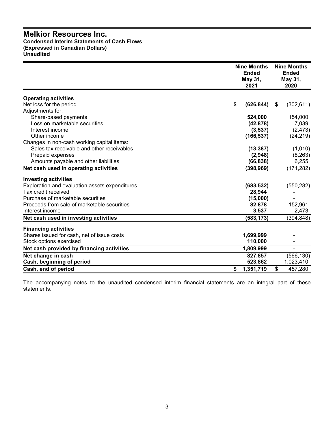#### **Melkior Resources Inc. Condensed Interim Statements of Cash Flows (Expressed in Canadian Dollars) Unaudited**

|                                                | <b>Nine Months</b><br><b>Ended</b><br>May 31,<br>2021 | <b>Nine Months</b><br><b>Ended</b><br>May 31,<br>2020 |
|------------------------------------------------|-------------------------------------------------------|-------------------------------------------------------|
| <b>Operating activities</b>                    |                                                       |                                                       |
| Net loss for the period                        | \$<br>(626, 844)                                      | (302, 611)<br>-S                                      |
| Adjustments for:                               |                                                       |                                                       |
| Share-based payments                           | 524,000                                               | 154,000                                               |
| Loss on marketable securities                  | (42, 878)                                             | 7,039                                                 |
| Interest income                                | (3,537)                                               | (2, 473)                                              |
| Other income                                   | (166, 537)                                            | (24, 219)                                             |
| Changes in non-cash working capital items:     |                                                       |                                                       |
| Sales tax receivable and other receivables     | (13, 387)                                             | (1,010)                                               |
| Prepaid expenses                               | (2,948)                                               | (8, 263)                                              |
| Amounts payable and other liabilities          | (66, 838)                                             | 6,255                                                 |
| Net cash used in operating activities          | (398, 969)                                            | (171, 282)                                            |
| <b>Investing activities</b>                    |                                                       |                                                       |
| Exploration and evaluation assets expenditures | (683, 532)                                            | (550, 282)                                            |
| Tax credit received                            | 28,944                                                |                                                       |
| Purchase of marketable securities              | (15,000)                                              |                                                       |
| Proceeds from sale of marketable securities    | 82,878                                                | 152,961                                               |
| Interest income                                | 3,537                                                 | 2,473                                                 |
| Net cash used in investing activities          | (583, 173)                                            | (394, 848)                                            |
| <b>Financing activities</b>                    |                                                       |                                                       |
| Shares issued for cash, net of issue costs     | 1,699,999                                             |                                                       |
| Stock options exercised                        | 110,000                                               |                                                       |
| Net cash provided by financing activities      | 1,809,999                                             | $\blacksquare$                                        |
| Net change in cash                             | 827,857                                               | (566, 130)                                            |
| Cash, beginning of period                      | 523,862                                               | 1,023,410                                             |
| Cash, end of period                            | 1,351,719<br>\$                                       | \$<br>457,280                                         |

The accompanying notes to the unaudited condensed interim financial statements are an integral part of these statements.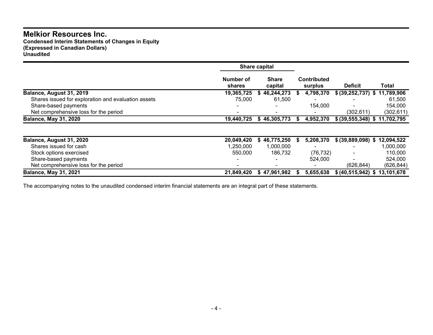**Condensed Interim Statements of Changes in Equity (Expressed in Canadian Dollars) Unaudited**

|                                                     |                          | Share capital            |                               |                                 |            |
|-----------------------------------------------------|--------------------------|--------------------------|-------------------------------|---------------------------------|------------|
|                                                     | Number of<br>shares      | <b>Share</b><br>capital  | <b>Contributed</b><br>surplus | <b>Deficit</b>                  | Total      |
| Balance, August 31, 2019                            | 19,365,725               | 46,244,273<br>S          | 4,798,370<br>S.               | \$ (39,252,737) \$ 11,789,906   |            |
| Shares issued for exploration and evaluation assets | 75.000                   | 61,500                   | $\overline{\phantom{0}}$      |                                 | 61.500     |
| Share-based payments                                | $\overline{\phantom{0}}$ | $\overline{\phantom{0}}$ | 154.000                       |                                 | 154.000    |
| Net comprehensive loss for the period               |                          |                          | $\blacksquare$                | (302, 611)                      | (302, 611) |
| <b>Balance, May 31, 2020</b>                        | 19,440,725               | \$46,305,773             | 4,952,370                     | \$ (39, 555, 348) \$ 11,702,795 |            |
|                                                     |                          |                          |                               |                                 |            |
|                                                     |                          |                          |                               |                                 |            |

| Balance, August 31, 2020              | 20.049.420 | 46.775.250   | 5,208,370 | \$ (39,889,098) \$ 12,094,522 |           |
|---------------------------------------|------------|--------------|-----------|-------------------------------|-----------|
| Shares issued for cash                | .250.000   | 1.000.000    |           | $\overline{\phantom{a}}$      | 000.000.١ |
| Stock options exercised               | 550,000    | 186,732      | (76, 732) | $\sim$                        | 110.000   |
| Share-based payments                  |            |              | 524.000   | $\sim$                        | 524.000   |
| Net comprehensive loss for the period |            |              |           | (626.844)                     | (626.844) |
| <b>Balance, May 31, 2021</b>          | 21,849,420 | \$47,961,982 | 5,655,638 | \$ (40,515,942) \$ 13,101,678 |           |

The accompanying notes to the unaudited condensed interim financial statements are an integral part of these statements.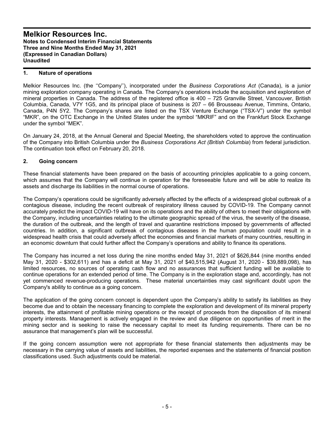#### **1. Nature of operations**

Melkior Resources Inc. (the ''Company''), incorporated under the *Business Corporations Act* (Canada), is a junior mining exploration company operating in Canada. The Company's operations include the acquisition and exploration of mineral properties in Canada. The address of the registered office is 400 – 725 Granville Street, Vancouver, British Columbia, Canada, V7Y 1G5, and its principal place of business is 207 – 66 Brousseau Avenue, Timmins, Ontario, Canada, P4N 5Y2. The Company's shares are listed on the TSX Venture Exchange ("TSX-V") under the symbol "MKR", on the OTC Exchange in the United States under the symbol "MKRIF" and on the Frankfurt Stock Exchange under the symbol "MEK".

On January 24, 2018, at the Annual General and Special Meeting, the shareholders voted to approve the continuation of the Company into British Columbia under the *Business Corporations Act (British Columbia*) from federal jurisdiction. The continuation took effect on February 20, 2018.

#### **2. Going concern**

These financial statements have been prepared on the basis of accounting principles applicable to a going concern, which assumes that the Company will continue in operation for the foreseeable future and will be able to realize its assets and discharge its liabilities in the normal course of operations.

The Company's operations could be significantly adversely affected by the effects of a widespread global outbreak of a contagious disease, including the recent outbreak of respiratory illness caused by COVID-19. The Company cannot accurately predict the impact COVID-19 will have on its operations and the ability of others to meet their obligations with the Company, including uncertainties relating to the ultimate geographic spread of the virus, the severity of the disease, the duration of the outbreak, and the length of travel and quarantine restrictions imposed by governments of affected countries. In addition, a significant outbreak of contagious diseases in the human population could result in a widespread health crisis that could adversely affect the economies and financial markets of many countries, resulting in an economic downturn that could further affect the Company's operations and ability to finance its operations.

The Company has incurred a net loss during the nine months ended May 31, 2021 of \$626,844 (nine months ended May 31, 2020 - \$302,611) and has a deficit at May 31, 2021 of \$40,515,942 (August 31, 2020 - \$39,889,098), has limited resources, no sources of operating cash flow and no assurances that sufficient funding will be available to continue operations for an extended period of time. The Company is in the exploration stage and, accordingly, has not yet commenced revenue-producing operations. These material uncertainties may cast significant doubt upon the Company's ability to continue as a going concern.

The application of the going concern concept is dependent upon the Company's ability to satisfy its liabilities as they become due and to obtain the necessary financing to complete the exploration and development of its mineral property interests, the attainment of profitable mining operations or the receipt of proceeds from the disposition of its mineral property interests. Management is actively engaged in the review and due diligence on opportunities of merit in the mining sector and is seeking to raise the necessary capital to meet its funding requirements. There can be no assurance that management's plan will be successful.

If the going concern assumption were not appropriate for these financial statements then adjustments may be necessary in the carrying value of assets and liabilities, the reported expenses and the statements of financial position classifications used. Such adjustments could be material.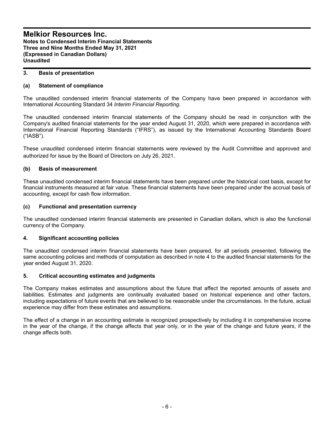#### **3. Basis of presentation**

#### **(a) Statement of compliance**

The unaudited condensed interim financial statements of the Company have been prepared in accordance with International Accounting Standard 34 *Interim Financial Reporting*.

The unaudited condensed interim financial statements of the Company should be read in conjunction with the Company's audited financial statements for the year ended August 31, 2020, which were prepared in accordance with International Financial Reporting Standards ("IFRS"), as issued by the International Accounting Standards Board ("IASB").

These unaudited condensed interim financial statements were reviewed by the Audit Committee and approved and authorized for issue by the Board of Directors on July 26, 2021.

#### **(b) Basis of measurement**

These unaudited condensed interim financial statements have been prepared under the historical cost basis, except for financial instruments measured at fair value. These financial statements have been prepared under the accrual basis of accounting, except for cash flow information.

#### **(c) Functional and presentation currency**

The unaudited condensed interim financial statements are presented in Canadian dollars, which is also the functional currency of the Company.

#### **4. Significant accounting policies**

The unaudited condensed interim financial statements have been prepared, for all periods presented, following the same accounting policies and methods of computation as described in note 4 to the audited financial statements for the year ended August 31, 2020.

#### **5. Critical accounting estimates and judgments**

The Company makes estimates and assumptions about the future that affect the reported amounts of assets and liabilities. Estimates and judgments are continually evaluated based on historical experience and other factors, including expectations of future events that are believed to be reasonable under the circumstances. In the future, actual experience may differ from these estimates and assumptions.

The effect of a change in an accounting estimate is recognized prospectively by including it in comprehensive income in the year of the change, if the change affects that year only, or in the year of the change and future years, if the change affects both.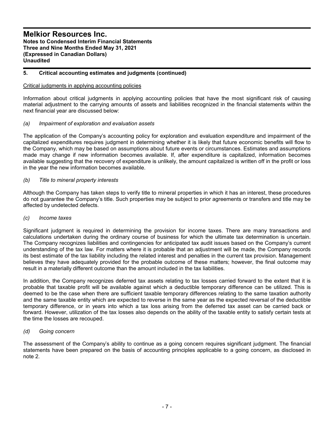#### **5. Critical accounting estimates and judgments (continued)**

#### Critical judgments in applying accounting policies

Information about critical judgments in applying accounting policies that have the most significant risk of causing material adjustment to the carrying amounts of assets and liabilities recognized in the financial statements within the next financial year are discussed below:

#### *(a) Impairment of exploration and evaluation assets*

The application of the Company's accounting policy for exploration and evaluation expenditure and impairment of the capitalized expenditures requires judgment in determining whether it is likely that future economic benefits will flow to the Company, which may be based on assumptions about future events or circumstances. Estimates and assumptions made may change if new information becomes available. If, after expenditure is capitalized, information becomes available suggesting that the recovery of expenditure is unlikely, the amount capitalized is written off in the profit or loss in the year the new information becomes available.

#### *(b) Title to mineral property interests*

Although the Company has taken steps to verify title to mineral properties in which it has an interest, these procedures do not guarantee the Company's title. Such properties may be subject to prior agreements or transfers and title may be affected by undetected defects.

#### *(c) Income taxes*

Significant judgment is required in determining the provision for income taxes. There are many transactions and calculations undertaken during the ordinary course of business for which the ultimate tax determination is uncertain. The Company recognizes liabilities and contingencies for anticipated tax audit issues based on the Company's current understanding of the tax law. For matters where it is probable that an adjustment will be made, the Company records its best estimate of the tax liability including the related interest and penalties in the current tax provision. Management believes they have adequately provided for the probable outcome of these matters; however, the final outcome may result in a materially different outcome than the amount included in the tax liabilities.

In addition, the Company recognizes deferred tax assets relating to tax losses carried forward to the extent that it is probable that taxable profit will be available against which a deductible temporary difference can be utilized. This is deemed to be the case when there are sufficient taxable temporary differences relating to the same taxation authority and the same taxable entity which are expected to reverse in the same year as the expected reversal of the deductible temporary difference, or in years into which a tax loss arising from the deferred tax asset can be carried back or forward. However, utilization of the tax losses also depends on the ability of the taxable entity to satisfy certain tests at the time the losses are recouped.

#### *(d) Going concern*

The assessment of the Company's ability to continue as a going concern requires significant judgment. The financial statements have been prepared on the basis of accounting principles applicable to a going concern, as disclosed in note 2.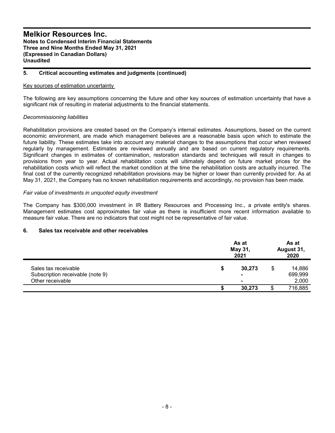#### **5. Critical accounting estimates and judgments (continued)**

#### Key sources of estimation uncertainty

The following are key assumptions concerning the future and other key sources of estimation uncertainty that have a significant risk of resulting in material adjustments to the financial statements.

#### *Decommissioning liabilities*

Rehabilitation provisions are created based on the Company's internal estimates. Assumptions, based on the current economic environment, are made which management believes are a reasonable basis upon which to estimate the future liability. These estimates take into account any material changes to the assumptions that occur when reviewed regularly by management. Estimates are reviewed annually and are based on current regulatory requirements. Significant changes in estimates of contamination, restoration standards and techniques will result in changes to provisions from year to year. Actual rehabilitation costs will ultimately depend on future market prices for the rehabilitation costs which will reflect the market condition at the time the rehabilitation costs are actually incurred. The final cost of the currently recognized rehabilitation provisions may be higher or lower than currently provided for. As at May 31, 2021, the Company has no known rehabilitation requirements and accordingly, no provision has been made.

#### *Fair value of investments in unquoted equity investment*

The Company has \$300,000 investment in IR Battery Resources and Processing Inc., a private entity's shares. Management estimates cost approximates fair value as there is insufficient more recent information available to measure fair value. There are no indicators that cost might not be representative of fair value.

#### **6. Sales tax receivable and other receivables**

|                                  | As at<br>May 31,<br>2021 |                |  | As at<br>August 31,<br>2020 |  |  |
|----------------------------------|--------------------------|----------------|--|-----------------------------|--|--|
| Sales tax receivable             | \$                       | 30,273         |  | 14,886                      |  |  |
| Subscription receivable (note 9) |                          | $\blacksquare$ |  | 699,999                     |  |  |
| Other receivable                 |                          | $\blacksquare$ |  | 2,000                       |  |  |
|                                  |                          | 30,273         |  | 716,885                     |  |  |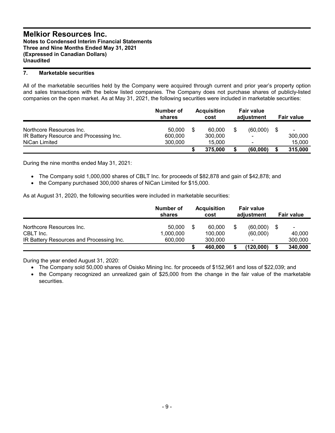#### **7. Marketable securities**

All of the marketable securities held by the Company were acquired through current and prior year's property option and sales transactions with the below listed companies. The Company does not purchase shares of publicly-listed companies on the open market. As at May 31, 2021, the following securities were included in marketable securities:

|                                         | Number of<br>shares |   | <b>Acquisition</b><br>cost | <b>Fair value</b><br>adjustment |      | <b>Fair value</b> |
|-----------------------------------------|---------------------|---|----------------------------|---------------------------------|------|-------------------|
| Northcore Resources Inc.                | 50.000              | S | 60.000                     | (60,000)                        | - \$ | $\blacksquare$    |
| IR Battery Resource and Processing Inc. | 600,000             |   | 300,000                    | $\blacksquare$                  |      | 300,000           |
| NiCan Limited                           | 300,000             |   | 15.000                     | -                               |      | 15,000            |
|                                         |                     |   | 375,000                    | (60,000)                        | \$   | 315,000           |

During the nine months ended May 31, 2021:

- The Company sold 1,000,000 shares of CBLT Inc. for proceeds of \$82,878 and gain of \$42,878; and
- the Company purchased 300,000 shares of NiCan Limited for \$15,000.

As at August 31, 2020, the following securities were included in marketable securities:

|                                                                                   | Number of<br>shares            | <b>Acquisition</b><br>cost         | <b>Fair value</b><br>adjustment | <b>Fair value</b>                                   |
|-----------------------------------------------------------------------------------|--------------------------------|------------------------------------|---------------------------------|-----------------------------------------------------|
| Northcore Resources Inc.<br>CBLT Inc.<br>IR Battery Resources and Processing Inc. | 50,000<br>1,000,000<br>600,000 | \$<br>60,000<br>100.000<br>300,000 | (60,000)<br>(60,000)<br>۰       | \$<br>$\overline{\phantom{a}}$<br>40,000<br>300,000 |
|                                                                                   |                                | 460,000                            | (120,000)                       | 340,000                                             |

During the year ended August 31, 2020:

- The Company sold 50,000 shares of Osisko Mining Inc. for proceeds of \$152,961 and loss of \$22,039; and
- the Company recognized an unrealized gain of \$25,000 from the change in the fair value of the marketable securities.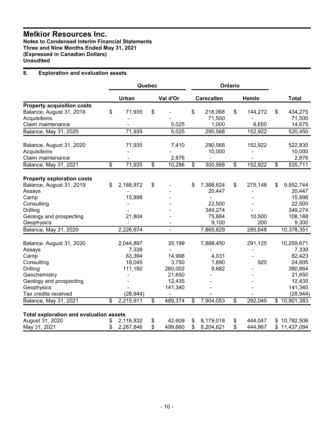**Notes to Condensed Interim Financial Statements Three and Nine Months Ended May 31, 2021 (Expressed in Canadian Dollars) Unaudited**

#### **8. Exploration and evaluation assets**

|                                                                                                    |          |                              | Quebec<br>Ontario |                            |          |                            |          |                    |                                   |
|----------------------------------------------------------------------------------------------------|----------|------------------------------|-------------------|----------------------------|----------|----------------------------|----------|--------------------|-----------------------------------|
|                                                                                                    |          | Urban                        |                   | Val d'Or                   |          | <b>Carscallen</b>          |          | Hemlo              | <b>Total</b>                      |
| <b>Property acquisition costs</b><br>Balance, August 31, 2019<br>Acquisitions<br>Claim maintenance | \$       | 71,935                       | \$                | 5,025                      | \$       | 218,068<br>71,500<br>1,000 | \$       | 144,272<br>8,650   | \$<br>434,275<br>71,500<br>14,675 |
| Balance, May 31, 2020                                                                              |          | 71,935                       |                   | 5,025                      |          | 290,568                    |          | 152,922            | 520,450                           |
| Balance, August 31, 2020<br>Acquisitions<br>Claim maintenance                                      |          | 71,935                       |                   | 7,410<br>2,876             |          | 290,568<br>10,000          |          | 152,922            | 522,835<br>10,000<br>2,876        |
| Balance, May 31, 2021                                                                              | \$       | 71,935                       | \$                | 10,286                     | \$       | 300,568                    | \$       | 152,922            | \$<br>535,711                     |
| <b>Property exploration costs</b><br>Balance, August 31, 2019                                      | \$       | 2,188,972                    | \$                |                            | \$       | 7,388,624                  | \$       | 275,148            | \$<br>9,852,744                   |
| Assays<br>Camp<br>Consulting                                                                       |          | 15,898                       |                   |                            |          | 20,447<br>22,500           |          |                    | 20,447<br>15,898<br>22,500        |
| <b>Drilling</b><br>Geology and prospecting<br>Geophysics                                           |          | 21,804                       |                   |                            |          | 349,274<br>75,884<br>9,100 |          | 10,500<br>200      | 349,274<br>108,188<br>9,300       |
| Balance, May 31, 2020                                                                              |          | 2,226,674                    |                   |                            |          | 7,865,829                  |          | 285,848            | 10,378,351                        |
| Balance, August 31, 2020<br>Assays<br>Camp                                                         |          | 2,044,897<br>7,339<br>63,394 |                   | 35,199<br>14,998           |          | 7,888,450<br>4,031         |          | 291,125            | 10,259,671<br>7,339<br>82,423     |
| Consulting<br><b>Drilling</b><br>Geochemistry                                                      |          | 18,045<br>111,180            |                   | 3,750<br>260,002<br>21,650 |          | 1,890<br>9,682             |          | 920                | 24,605<br>380,864<br>21,650       |
| Geology and prospecting<br>Geophysics<br>Tax credits received                                      |          | (28, 944)                    |                   | 12,435<br>141,340<br>۰     |          |                            |          |                    | 12,435<br>141,340<br>(28, 944)    |
| Balance, May 31, 2021                                                                              | \$       | 2,215,911                    | \$                | 489,374                    | \$       | 7,904,053                  | \$       | 292,045            | \$10,901,383                      |
| <b>Total exploration and evaluation assets</b><br>August 31, 2020<br>May 31, 2021                  | \$<br>\$ | 2,116,832<br>2,287,846       | \$<br>\$          | 42,609<br>499,660          | \$<br>\$ | 8,179,018<br>8,204,621     | \$<br>\$ | 444,047<br>444,967 | \$<br>10,782,506<br>11,437,094    |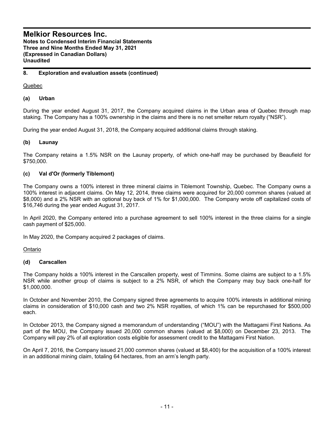#### **8. Exploration and evaluation assets (continued)**

Quebec

#### **(a) Urban**

During the year ended August 31, 2017, the Company acquired claims in the Urban area of Quebec through map staking. The Company has a 100% ownership in the claims and there is no net smelter return royalty ("NSR").

During the year ended August 31, 2018, the Company acquired additional claims through staking.

#### **(b) Launay**

The Company retains a 1.5% NSR on the Launay property, of which one-half may be purchased by Beaufield for \$750,000.

#### **(c) Val d'Or (formerly Tiblemont)**

The Company owns a 100% interest in three mineral claims in Tiblemont Township, Quebec. The Company owns a 100% interest in adjacent claims. On May 12, 2014, three claims were acquired for 20,000 common shares (valued at \$8,000) and a 2% NSR with an optional buy back of 1% for \$1,000,000. The Company wrote off capitalized costs of \$16,746 during the year ended August 31, 2017.

In April 2020, the Company entered into a purchase agreement to sell 100% interest in the three claims for a single cash payment of \$25,000.

In May 2020, the Company acquired 2 packages of claims.

Ontario

#### **(d) Carscallen**

The Company holds a 100% interest in the Carscallen property, west of Timmins. Some claims are subject to a 1.5% NSR while another group of claims is subject to a 2% NSR, of which the Company may buy back one-half for \$1,000,000.

In October and November 2010, the Company signed three agreements to acquire 100% interests in additional mining claims in consideration of \$10,000 cash and two 2% NSR royalties, of which 1% can be repurchased for \$500,000 each.

In October 2013, the Company signed a memorandum of understanding ("MOU") with the Mattagami First Nations. As part of the MOU, the Company issued 20,000 common shares (valued at \$8,000) on December 23, 2013. The Company will pay 2% of all exploration costs eligible for assessment credit to the Mattagami First Nation.

On April 7, 2016, the Company issued 21,000 common shares (valued at \$8,400) for the acquisition of a 100% interest in an additional mining claim, totaling 64 hectares, from an arm's length party.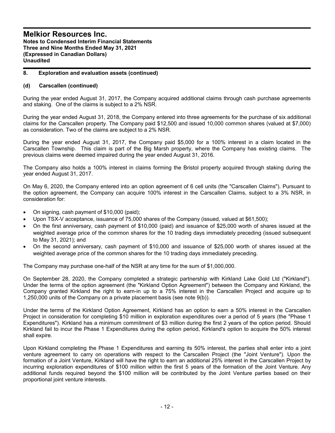#### **8. Exploration and evaluation assets (continued)**

#### **(d) Carscallen (continued)**

During the year ended August 31, 2017, the Company acquired additional claims through cash purchase agreements and staking. One of the claims is subject to a 2% NSR.

During the year ended August 31, 2018, the Company entered into three agreements for the purchase of six additional claims for the Carscallen property. The Company paid \$12,500 and issued 10,000 common shares (valued at \$7,000) as consideration. Two of the claims are subject to a 2% NSR.

During the year ended August 31, 2017, the Company paid \$5,000 for a 100% interest in a claim located in the Carscallen Township. This claim is part of the Big Marsh property, where the Company has existing claims. The previous claims were deemed impaired during the year ended August 31, 2016.

The Company also holds a 100% interest in claims forming the Bristol property acquired through staking during the year ended August 31, 2017.

On May 6, 2020, the Company entered into an option agreement of 6 cell units (the "Carscallen Claims"). Pursuant to the option agreement, the Company can acquire 100% interest in the Carscallen Claims, subject to a 3% NSR, in consideration for:

- On signing, cash payment of \$10,000 (paid);
- Upon TSX-V acceptance, issuance of 75,000 shares of the Company (issued, valued at \$61,500);
- On the first anniversary, cash payment of \$10,000 (paid) and issuance of \$25,000 worth of shares issued at the weighted average price of the common shares for the 10 trading days immediately preceding (issued subsequent to May 31, 2021); and
- On the second anniversary, cash payment of \$10,000 and issuance of \$25,000 worth of shares issued at the weighted average price of the common shares for the 10 trading days immediately preceding.

The Company may purchase one-half of the NSR at any time for the sum of \$1,000,000.

On September 28, 2020, the Company completed a strategic partnership with Kirkland Lake Gold Ltd ("Kirkland"). Under the terms of the option agreement (the "Kirkland Option Agreement") between the Company and Kirkland, the Company granted Kirkland the right to earn-in up to a 75% interest in the Carscallen Project and acquire up to 1,250,000 units of the Company on a private placement basis (see note 9(b)).

Under the terms of the Kirkland Option Agreement, Kirkland has an option to earn a 50% interest in the Carscallen Project in consideration for completing \$10 million in exploration expenditures over a period of 5 years (the "Phase 1 Expenditures"). Kirkland has a minimum commitment of \$3 million during the first 2 years of the option period. Should Kirkland fail to incur the Phase 1 Expenditures during the option period, Kirkland's option to acquire the 50% interest shall expire.

Upon Kirkland completing the Phase 1 Expenditures and earning its 50% interest, the parties shall enter into a joint venture agreement to carry on operations with respect to the Carscallen Project (the "Joint Venture"). Upon the formation of a Joint Venture, Kirkland will have the right to earn an additional 25% interest in the Carscallen Project by incurring exploration expenditures of \$100 million within the first 5 years of the formation of the Joint Venture. Any additional funds required beyond the \$100 million will be contributed by the Joint Venture parties based on their proportional joint venture interests.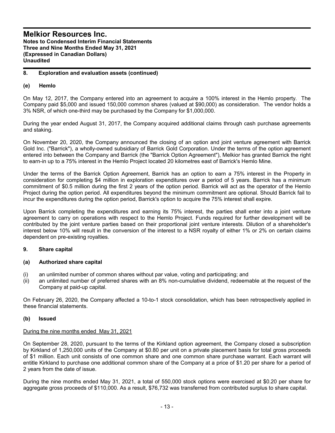#### **8. Exploration and evaluation assets (continued)**

#### **(e) Hemlo**

On May 12, 2017, the Company entered into an agreement to acquire a 100% interest in the Hemlo property. The Company paid \$5,000 and issued 150,000 common shares (valued at \$90,000) as consideration. The vendor holds a 3% NSR, of which one-third may be purchased by the Company for \$1,000,000.

During the year ended August 31, 2017, the Company acquired additional claims through cash purchase agreements and staking.

On November 20, 2020, the Company announced the closing of an option and joint venture agreement with Barrick Gold Inc. ("Barrick"), a wholly-owned subsidiary of Barrick Gold Corporation. Under the terms of the option agreement entered into between the Company and Barrick (the "Barrick Option Agreement"), Melkior has granted Barrick the right to earn-in up to a 75% interest in the Hemlo Project located 20 kilometres east of Barrick's Hemlo Mine.

Under the terms of the Barrick Option Agreement, Barrick has an option to earn a 75% interest in the Property in consideration for completing \$4 million in exploration expenditures over a period of 5 years. Barrick has a minimum commitment of \$0.5 million during the first 2 years of the option period. Barrick will act as the operator of the Hemlo Project during the option period. All expenditures beyond the minimum commitment are optional. Should Barrick fail to incur the expenditures during the option period, Barrick's option to acquire the 75% interest shall expire.

Upon Barrick completing the expenditures and earning its 75% interest, the parties shall enter into a joint venture agreement to carry on operations with respect to the Hemlo Project. Funds required for further development will be contributed by the joint venture parties based on their proportional joint venture interests. Dilution of a shareholder's interest below 10% will result in the conversion of the interest to a NSR royalty of either 1% or 2% on certain claims dependent on pre-existing royalties.

#### **9. Share capital**

#### **(a) Authorized share capital**

- (i) an unlimited number of common shares without par value, voting and participating; and
- (ii) an unlimited number of preferred shares with an 8% non-cumulative dividend, redeemable at the request of the Company at paid-up capital.

On February 26, 2020, the Company affected a 10-to-1 stock consolidation, which has been retrospectively applied in these financial statements.

#### **(b) Issued**

#### During the nine months ended May 31, 2021

On September 28, 2020, pursuant to the terms of the Kirkland option agreement, the Company closed a subscription by Kirkland of 1,250,000 units of the Company at \$0.80 per unit on a private placement basis for total gross proceeds of \$1 million. Each unit consists of one common share and one common share purchase warrant. Each warrant will entitle Kirkland to purchase one additional common share of the Company at a price of \$1.20 per share for a period of 2 years from the date of issue.

During the nine months ended May 31, 2021, a total of 550,000 stock options were exercised at \$0.20 per share for aggregate gross proceeds of \$110,000. As a result, \$76,732 was transferred from contributed surplus to share capital.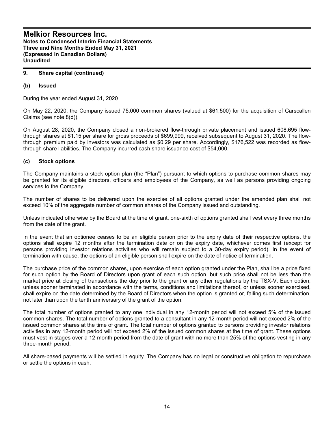#### **9. Share capital (continued)**

#### **(b) Issued**

During the year ended August 31, 2020

On May 22, 2020, the Company issued 75,000 common shares (valued at \$61,500) for the acquisition of Carscallen Claims (see note 8(d)).

On August 28, 2020, the Company closed a non-brokered flow-through private placement and issued 608,695 flowthrough shares at \$1.15 per share for gross proceeds of \$699,999, received subsequent to August 31, 2020. The flowthrough premium paid by investors was calculated as \$0.29 per share. Accordingly, \$176,522 was recorded as flowthrough share liabilities. The Company incurred cash share issuance cost of \$54,000.

#### **(c) Stock options**

The Company maintains a stock option plan (the "Plan") pursuant to which options to purchase common shares may be granted for its eligible directors, officers and employees of the Company, as well as persons providing ongoing services to the Company.

The number of shares to be delivered upon the exercise of all options granted under the amended plan shall not exceed 10% of the aggregate number of common shares of the Company issued and outstanding.

Unless indicated otherwise by the Board at the time of grant, one-sixth of options granted shall vest every three months from the date of the grant.

In the event that an optionee ceases to be an eligible person prior to the expiry date of their respective options, the options shall expire 12 months after the termination date or on the expiry date, whichever comes first (except for persons providing investor relations activities who will remain subject to a 30-day expiry period). In the event of termination with cause, the options of an eligible person shall expire on the date of notice of termination.

The purchase price of the common shares, upon exercise of each option granted under the Plan, shall be a price fixed for such option by the Board of Directors upon grant of each such option, but such price shall not be less than the market price at closing of transactions the day prior to the grant or any other regulations by the TSX-V. Each option, unless sooner terminated in accordance with the terms, conditions and limitations thereof, or unless sooner exercised, shall expire on the date determined by the Board of Directors when the option is granted or, failing such determination, not later than upon the tenth anniversary of the grant of the option.

The total number of options granted to any one individual in any 12-month period will not exceed 5% of the issued common shares. The total number of options granted to a consultant in any 12-month period will not exceed 2% of the issued common shares at the time of grant. The total number of options granted to persons providing investor relations activities in any 12-month period will not exceed 2% of the issued common shares at the time of grant. These options must vest in stages over a 12-month period from the date of grant with no more than 25% of the options vesting in any three-month period.

All share-based payments will be settled in equity. The Company has no legal or constructive obligation to repurchase or settle the options in cash.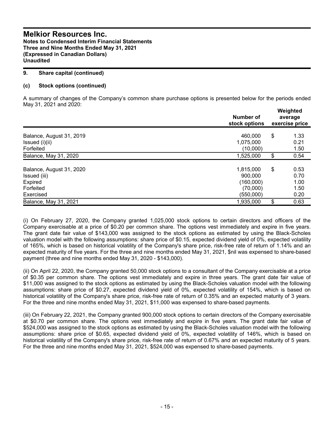#### **9. Share capital (continued)**

#### **(c) Stock options (continued)**

A summary of changes of the Company's common share purchase options is presented below for the periods ended May 31, 2021 and 2020:

|                          | Number of<br>stock options | Weighted<br>average<br>exercise price |      |  |
|--------------------------|----------------------------|---------------------------------------|------|--|
| Balance, August 31, 2019 | 460,000                    | \$                                    | 1.33 |  |
| Issued (i)(ii)           | 1,075,000                  |                                       | 0.21 |  |
| Forfeited                | (10,000)                   |                                       | 1.50 |  |
| Balance, May 31, 2020    | 1,525,000                  | \$                                    | 0.54 |  |
| Balance, August 31, 2020 | 1,815,000                  | \$                                    | 0.53 |  |
| Issued (iii)             | 900,000                    |                                       | 0.70 |  |
| Expired                  | (160,000)                  |                                       | 1.00 |  |
| Forfeited                | (70,000)                   |                                       | 1.50 |  |
| Exercised                | (550,000)                  |                                       | 0.20 |  |
| Balance, May 31, 2021    | 1,935,000                  | \$                                    | 0.63 |  |

(i) On February 27, 2020, the Company granted 1,025,000 stock options to certain directors and officers of the Company exercisable at a price of \$0.20 per common share. The options vest immediately and expire in five years. The grant date fair value of \$143,000 was assigned to the stock options as estimated by using the Black-Scholes valuation model with the following assumptions: share price of \$0.15, expected dividend yield of 0%, expected volatility of 165%, which is based on historical volatility of the Company's share price, risk-free rate of return of 1.14% and an expected maturity of five years. For the three and nine months ended May 31, 2021, \$nil was expensed to share-based payment (three and nine months ended May 31, 2020 - \$143,000).

(ii) On April 22, 2020, the Company granted 50,000 stock options to a consultant of the Company exercisable at a price of \$0.35 per common share. The options vest immediately and expire in three years. The grant date fair value of \$11,000 was assigned to the stock options as estimated by using the Black-Scholes valuation model with the following assumptions: share price of \$0.27, expected dividend yield of 0%, expected volatility of 154%, which is based on historical volatility of the Company's share price, risk-free rate of return of 0.35% and an expected maturity of 3 years. For the three and nine months ended May 31, 2021, \$11,000 was expensed to share-based payments.

(iii) On February 22, 2021, the Company granted 900,000 stock options to certain directors of the Company exercisable at \$0.70 per common share. The options vest immediately and expire in five years. The grant date fair value of \$524,000 was assigned to the stock options as estimated by using the Black-Scholes valuation model with the following assumptions: share price of \$0.65, expected dividend yield of 0%, expected volatility of 146%, which is based on historical volatility of the Company's share price, risk-free rate of return of 0.67% and an expected maturity of 5 years. For the three and nine months ended May 31, 2021, \$524,000 was expensed to share-based payments.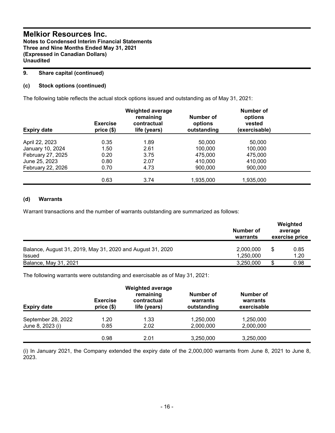#### **9. Share capital (continued)**

#### **(c) Stock options (continued)**

The following table reflects the actual stock options issued and outstanding as of May 31, 2021:

| <b>Expiry date</b> | <b>Exercise</b><br>price(\$) | <b>Weighted average</b><br>remaining<br>contractual<br>life (years) | Number of<br>options<br>outstanding | Number of<br>options<br>vested<br>(exercisable) |  |
|--------------------|------------------------------|---------------------------------------------------------------------|-------------------------------------|-------------------------------------------------|--|
|                    |                              |                                                                     |                                     |                                                 |  |
| April 22, 2023     | 0.35                         | 1.89                                                                | 50,000                              | 50,000                                          |  |
| January 10, 2024   | 1.50                         | 2.61                                                                | 100,000                             | 100.000                                         |  |
| February 27, 2025  | 0.20                         | 3.75                                                                | 475,000                             | 475,000                                         |  |
| June 25, 2023      | 0.80                         | 2.07                                                                | 410.000                             | 410,000                                         |  |
| February 22, 2026  | 0.70                         | 4.73                                                                | 900,000                             | 900,000                                         |  |
|                    |                              |                                                                     |                                     |                                                 |  |
|                    | 0.63                         | 3.74                                                                | 1,935,000                           | 1,935,000                                       |  |

#### **(d) Warrants**

Warrant transactions and the number of warrants outstanding are summarized as follows:

|                                                                             | Number of<br>warrants  |   | Weighted<br>average<br>exercise price |
|-----------------------------------------------------------------------------|------------------------|---|---------------------------------------|
| Balance, August 31, 2019, May 31, 2020 and August 31, 2020<br><b>Issued</b> | 2,000,000<br>1,250,000 | S | 0.85<br>1.20                          |
| Balance, May 31, 2021                                                       | 3,250,000              |   | 0.98                                  |

The following warrants were outstanding and exercisable as of May 31, 2021:

| <b>Expiry date</b>                     | <b>Exercise</b><br>price(\$) | <b>Weighted average</b><br>remaining<br>contractual<br>life (years) | Number of<br>warrants<br>outstanding | Number of<br>warrants<br>exercisable |  |
|----------------------------------------|------------------------------|---------------------------------------------------------------------|--------------------------------------|--------------------------------------|--|
| September 28, 2022<br>June 8, 2023 (i) | 1.20<br>0.85                 | 1.33<br>2.02                                                        | 1,250,000<br>2,000,000               | 1,250,000<br>2,000,000               |  |
|                                        | 0.98                         | 2.01                                                                | 3,250,000                            | 3,250,000                            |  |

(i) In January 2021, the Company extended the expiry date of the 2,000,000 warrants from June 8, 2021 to June 8, 2023.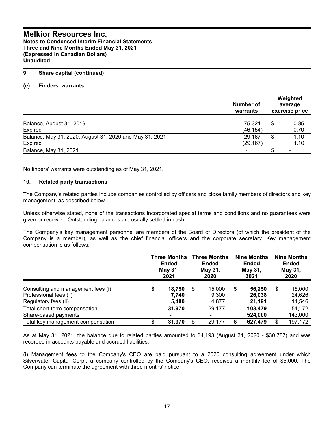**Notes to Condensed Interim Financial Statements Three and Nine Months Ended May 31, 2021 (Expressed in Canadian Dollars) Unaudited**

#### **9. Share capital (continued)**

#### **(e) Finders' warrants**

|                                                         | Number of<br>warrants | Weighted<br>average<br>exercise price |      |  |
|---------------------------------------------------------|-----------------------|---------------------------------------|------|--|
| Balance, August 31, 2019                                | 75,321                | \$                                    | 0.85 |  |
| Expired                                                 | (46, 154)             |                                       | 0.70 |  |
| Balance, May 31, 2020, August 31, 2020 and May 31, 2021 | 29,167                | \$                                    | 1.10 |  |
| Expired                                                 | (29, 167)             |                                       | 1.10 |  |
| Balance, May 31, 2021                                   |                       |                                       |      |  |

No finders' warrants were outstanding as of May 31, 2021.

#### **10. Related party transactions**

The Company's related parties include companies controlled by officers and close family members of directors and key management, as described below.

Unless otherwise stated, none of the transactions incorporated special terms and conditions and no guarantees were given or received. Outstanding balances are usually settled in cash.

The Company's key management personnel are members of the Board of Directors (of which the president of the Company is a member), as well as the chief financial officers and the corporate secretary. Key management compensation is as follows:

|                                                                                      | <b>Three Months</b><br>Ended<br>May 31,<br>2021 |                          | <b>Three Months</b><br><b>Ended</b><br>May 31,<br>2020 |                                    | <b>Nine Months</b><br><b>Ended</b><br>May 31,<br>2021 |                            | <b>Nine Months</b><br><b>Ended</b><br>May 31,<br>2020 |                            |
|--------------------------------------------------------------------------------------|-------------------------------------------------|--------------------------|--------------------------------------------------------|------------------------------------|-------------------------------------------------------|----------------------------|-------------------------------------------------------|----------------------------|
| Consulting and management fees (i)<br>Professional fees (ii)<br>Regulatory fees (ii) | \$                                              | 18,750<br>7.740<br>5,480 | \$                                                     | 15.000<br>9,300<br>4,877           | S                                                     | 56,250<br>26,038<br>21,191 | \$                                                    | 15,000<br>24,626<br>14,546 |
| Total short-term compensation<br>Share-based payments                                |                                                 | 31,970<br>$\blacksquare$ |                                                        | 29.177<br>$\overline{\phantom{0}}$ |                                                       | 103,479<br>524,000         |                                                       | 54,172<br>143,000          |
| Total key management compensation                                                    |                                                 | 31,970                   | \$                                                     | 29.177                             |                                                       | 627,479                    | \$                                                    | 197,172                    |

As at May 31, 2021, the balance due to related parties amounted to \$4,193 (August 31, 2020 - \$30,787) and was recorded in accounts payable and accrued liabilities.

(i) Management fees to the Company's CEO are paid pursuant to a 2020 consulting agreement under which Silverwater Capital Corp., a company controlled by the Company's CEO, receives a monthly fee of \$5,000. The Company can terminate the agreement with three months' notice.